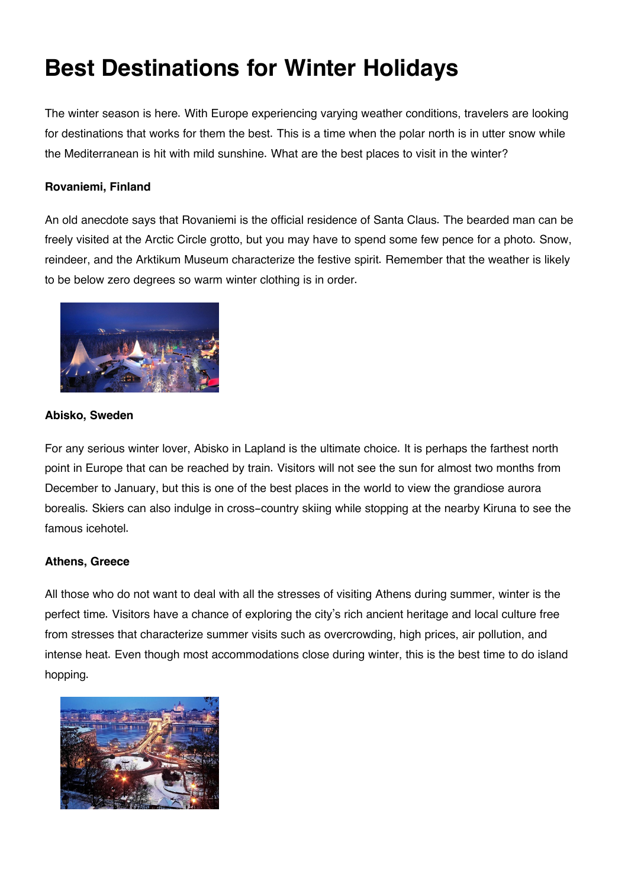# **Best Destinations for Winter Holidays**

The winter season is here. With Europe experiencing varying weather conditions, travelers are looking for destinations that works for them the best. This is a time when the polar north is in utter snow while the Mediterranean is hit with mild sunshine. What are the best places to visit in the winter?

# **Rovaniemi, Finland**

An old anecdote says that Rovaniemi is the official residence of Santa Claus. The bearded man can be freely visited at the Arctic Circle grotto, but you may have to spend some few pence for a photo. Snow, reindeer, and the Arktikum Museum characterize the festive spirit. Remember that the weather is likely to be below zero degrees so warm winter clothing is in order.



### **Abisko, Sweden**

For any serious winter lover, Abisko in Lapland is the ultimate choice. It is perhaps the farthest north point in Europe that can be reached by train. Visitors will not see the sun for almost two months from December to January, but this is one of the best places in the world to view the grandiose aurora borealis. Skiers can also indulge in cross-country skiing while stopping at the nearby Kiruna to see the famous icehotel.

## **Athens, Greece**

All those who do not want to deal with all the stresses of visiting Athens during summer, winter is the perfect time. Visitors have a chance of exploring the city's rich ancient heritage and local culture free from stresses that characterize summer visits such as overcrowding, high prices, air pollution, and intense heat. Even though most accommodations close during winter, this is the best time to do island hopping.